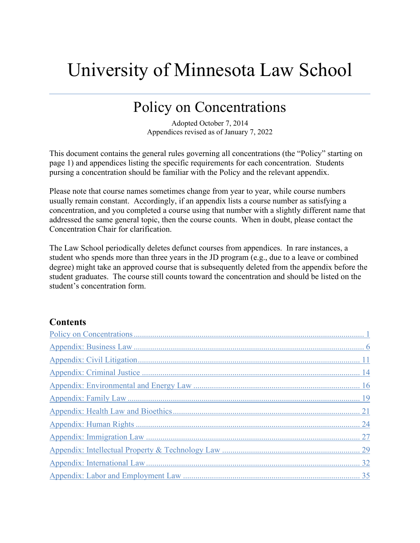# University of Minnesota Law School

# Policy on Concentrations

Adopted October 7, 2014 Appendices revised as of January 7, 2022

This document contains the general rules governing all concentrations (the "Policy" starting on page 1) and appendices listing the specific requirements for each concentration. Students pursing a concentration should be familiar with the Policy and the relevant appendix.

Please note that course names sometimes change from year to year, while course numbers usually remain constant. Accordingly, if an appendix lists a course number as satisfying a concentration, and you completed a course using that number with a slightly different name that addressed the same general topic, then the course counts. When in doubt, please contact the Concentration Chair for clarification.

The Law School periodically deletes defunct courses from appendices. In rare instances, a student who spends more than three years in the JD program (e.g., due to a leave or combined degree) might take an approved course that is subsequently deleted from the appendix before the student graduates. The course still counts toward the concentration and should be listed on the student's concentration form.

# **Contents**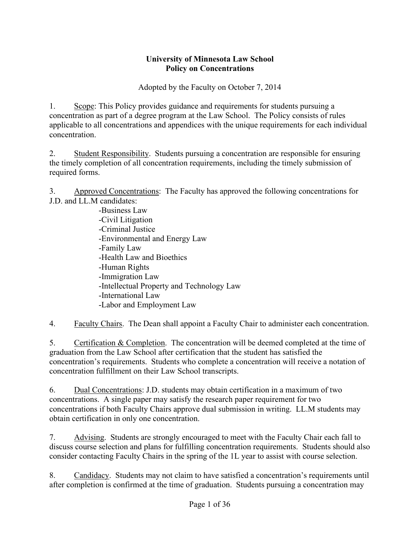# **University of Minnesota Law School Policy on Concentrations**

Adopted by the Faculty on October 7, 2014

<span id="page-1-0"></span>1. Scope: This Policy provides guidance and requirements for students pursuing a concentration as part of a degree program at the Law School. The Policy consists of rules applicable to all concentrations and appendices with the unique requirements for each individual concentration.

2. Student Responsibility. Students pursuing a concentration are responsible for ensuring the timely completion of all concentration requirements, including the timely submission of required forms.

3. Approved Concentrations: The Faculty has approved the following concentrations for J.D. and LL.M candidates:

-Business Law -Civil Litigation -Criminal Justice -Environmental and Energy Law -Family Law -Health Law and Bioethics -Human Rights -Immigration Law -Intellectual Property and Technology Law -International Law -Labor and Employment Law

4. Faculty Chairs. The Dean shall appoint a Faculty Chair to administer each concentration.

5. Certification & Completion. The concentration will be deemed completed at the time of graduation from the Law School after certification that the student has satisfied the concentration's requirements. Students who complete a concentration will receive a notation of concentration fulfillment on their Law School transcripts.

6. Dual Concentrations: J.D. students may obtain certification in a maximum of two concentrations. A single paper may satisfy the research paper requirement for two concentrations if both Faculty Chairs approve dual submission in writing. LL.M students may obtain certification in only one concentration.

7. Advising. Students are strongly encouraged to meet with the Faculty Chair each fall to discuss course selection and plans for fulfilling concentration requirements. Students should also consider contacting Faculty Chairs in the spring of the 1L year to assist with course selection.

8. Candidacy. Students may not claim to have satisfied a concentration's requirements until after completion is confirmed at the time of graduation. Students pursuing a concentration may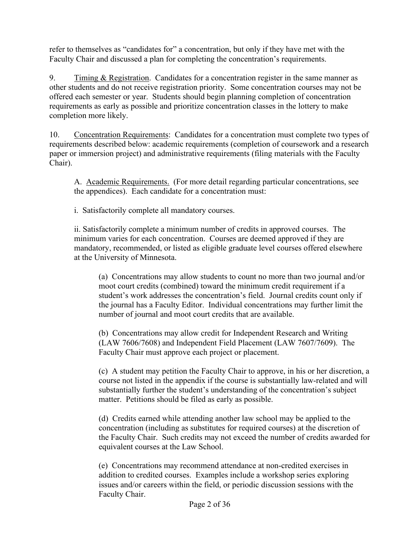refer to themselves as "candidates for" a concentration, but only if they have met with the Faculty Chair and discussed a plan for completing the concentration's requirements.

9. Timing & Registration. Candidates for a concentration register in the same manner as other students and do not receive registration priority. Some concentration courses may not be offered each semester or year. Students should begin planning completion of concentration requirements as early as possible and prioritize concentration classes in the lottery to make completion more likely.

10. Concentration Requirements: Candidates for a concentration must complete two types of requirements described below: academic requirements (completion of coursework and a research paper or immersion project) and administrative requirements (filing materials with the Faculty Chair).

A. Academic Requirements. (For more detail regarding particular concentrations, see the appendices). Each candidate for a concentration must:

i. Satisfactorily complete all mandatory courses.

ii. Satisfactorily complete a minimum number of credits in approved courses. The minimum varies for each concentration. Courses are deemed approved if they are mandatory, recommended, or listed as eligible graduate level courses offered elsewhere at the University of Minnesota.

(a) Concentrations may allow students to count no more than two journal and/or moot court credits (combined) toward the minimum credit requirement if a student's work addresses the concentration's field. Journal credits count only if the journal has a Faculty Editor. Individual concentrations may further limit the number of journal and moot court credits that are available.

(b) Concentrations may allow credit for Independent Research and Writing (LAW 7606/7608) and Independent Field Placement (LAW 7607/7609). The Faculty Chair must approve each project or placement.

(c) A student may petition the Faculty Chair to approve, in his or her discretion, a course not listed in the appendix if the course is substantially law-related and will substantially further the student's understanding of the concentration's subject matter. Petitions should be filed as early as possible.

(d) Credits earned while attending another law school may be applied to the concentration (including as substitutes for required courses) at the discretion of the Faculty Chair. Such credits may not exceed the number of credits awarded for equivalent courses at the Law School.

(e) Concentrations may recommend attendance at non-credited exercises in addition to credited courses. Examples include a workshop series exploring issues and/or careers within the field, or periodic discussion sessions with the Faculty Chair.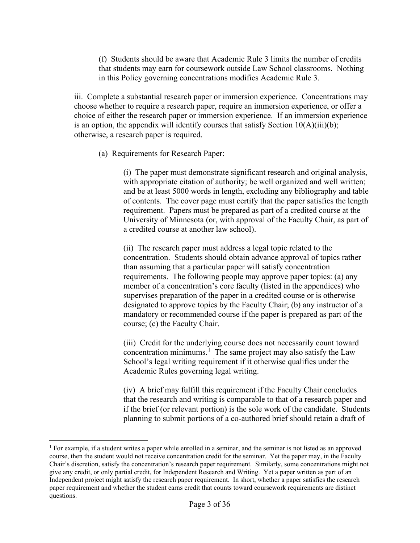(f) Students should be aware that Academic Rule 3 limits the number of credits that students may earn for coursework outside Law School classrooms. Nothing in this Policy governing concentrations modifies Academic Rule 3.

iii. Complete a substantial research paper or immersion experience. Concentrations may choose whether to require a research paper, require an immersion experience, or offer a choice of either the research paper or immersion experience. If an immersion experience is an option, the appendix will identify courses that satisfy Section  $10(A)(iii)(b)$ ; otherwise, a research paper is required.

(a) Requirements for Research Paper:

(i) The paper must demonstrate significant research and original analysis, with appropriate citation of authority; be well organized and well written; and be at least 5000 words in length, excluding any bibliography and table of contents. The cover page must certify that the paper satisfies the length requirement. Papers must be prepared as part of a credited course at the University of Minnesota (or, with approval of the Faculty Chair, as part of a credited course at another law school).

(ii) The research paper must address a legal topic related to the concentration. Students should obtain advance approval of topics rather than assuming that a particular paper will satisfy concentration requirements. The following people may approve paper topics: (a) any member of a concentration's core faculty (listed in the appendices) who supervises preparation of the paper in a credited course or is otherwise designated to approve topics by the Faculty Chair; (b) any instructor of a mandatory or recommended course if the paper is prepared as part of the course; (c) the Faculty Chair.

(iii) Credit for the underlying course does not necessarily count toward concentration minimums.<sup>[1](#page-3-0)</sup> The same project may also satisfy the Law School's legal writing requirement if it otherwise qualifies under the Academic Rules governing legal writing.

(iv) A brief may fulfill this requirement if the Faculty Chair concludes that the research and writing is comparable to that of a research paper and if the brief (or relevant portion) is the sole work of the candidate. Students planning to submit portions of a co-authored brief should retain a draft of

<span id="page-3-0"></span><sup>1</sup> For example, if a student writes a paper while enrolled in a seminar, and the seminar is not listed as an approved course, then the student would not receive concentration credit for the seminar. Yet the paper may, in the Faculty Chair's discretion, satisfy the concentration's research paper requirement. Similarly, some concentrations might not give any credit, or only partial credit, for Independent Research and Writing. Yet a paper written as part of an Independent project might satisfy the research paper requirement. In short, whether a paper satisfies the research paper requirement and whether the student earns credit that counts toward coursework requirements are distinct questions.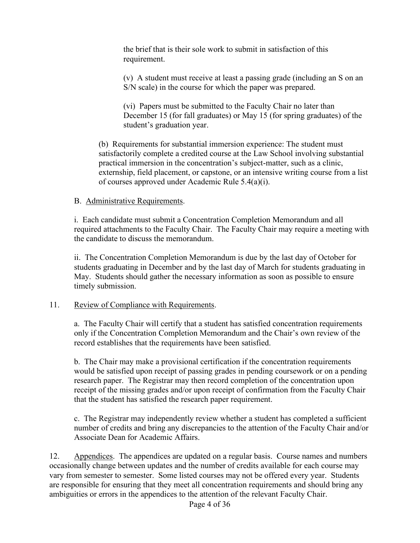the brief that is their sole work to submit in satisfaction of this requirement.

(v) A student must receive at least a passing grade (including an S on an S/N scale) in the course for which the paper was prepared.

(vi) Papers must be submitted to the Faculty Chair no later than December 15 (for fall graduates) or May 15 (for spring graduates) of the student's graduation year.

(b) Requirements for substantial immersion experience: The student must satisfactorily complete a credited course at the Law School involving substantial practical immersion in the concentration's subject-matter, such as a clinic, externship, field placement, or capstone, or an intensive writing course from a list of courses approved under Academic Rule 5.4(a)(i).

# B. Administrative Requirements.

i. Each candidate must submit a Concentration Completion Memorandum and all required attachments to the Faculty Chair. The Faculty Chair may require a meeting with the candidate to discuss the memorandum.

ii. The Concentration Completion Memorandum is due by the last day of October for students graduating in December and by the last day of March for students graduating in May. Students should gather the necessary information as soon as possible to ensure timely submission.

# 11. Review of Compliance with Requirements.

a. The Faculty Chair will certify that a student has satisfied concentration requirements only if the Concentration Completion Memorandum and the Chair's own review of the record establishes that the requirements have been satisfied.

b. The Chair may make a provisional certification if the concentration requirements would be satisfied upon receipt of passing grades in pending coursework or on a pending research paper. The Registrar may then record completion of the concentration upon receipt of the missing grades and/or upon receipt of confirmation from the Faculty Chair that the student has satisfied the research paper requirement.

c. The Registrar may independently review whether a student has completed a sufficient number of credits and bring any discrepancies to the attention of the Faculty Chair and/or Associate Dean for Academic Affairs.

12. Appendices. The appendices are updated on a regular basis. Course names and numbers occasionally change between updates and the number of credits available for each course may vary from semester to semester. Some listed courses may not be offered every year. Students are responsible for ensuring that they meet all concentration requirements and should bring any ambiguities or errors in the appendices to the attention of the relevant Faculty Chair.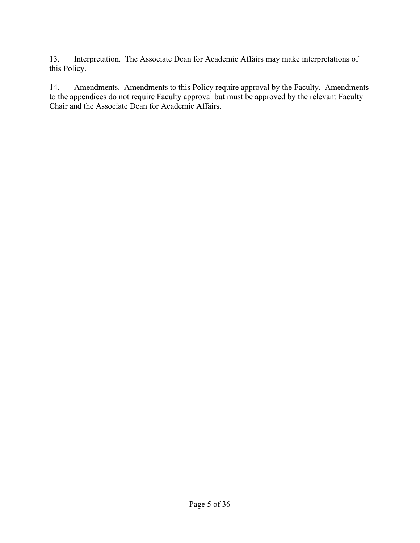13. Interpretation. The Associate Dean for Academic Affairs may make interpretations of this Policy.

14. Amendments. Amendments to this Policy require approval by the Faculty. Amendments to the appendices do not require Faculty approval but must be approved by the relevant Faculty Chair and the Associate Dean for Academic Affairs.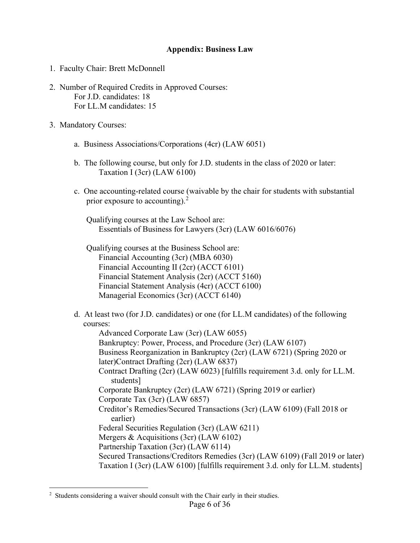#### **Appendix: Business Law**

- <span id="page-6-0"></span>1. Faculty Chair: Brett McDonnell
- 2. Number of Required Credits in Approved Courses: For J.D. candidates: 18 For LL.M candidates: 15
- 3. Mandatory Courses:
	- a. Business Associations/Corporations (4cr) (LAW 6051)
	- b. The following course, but only for J.D. students in the class of 2020 or later: Taxation I (3cr) (LAW 6100)
	- c. One accounting-related course (waivable by the chair for students with substantial prior exposure to accounting).<sup>[2](#page-6-1)</sup>

Qualifying courses at the Law School are: Essentials of Business for Lawyers (3cr) (LAW 6016/6076)

Qualifying courses at the Business School are: Financial Accounting (3cr) (MBA 6030) Financial Accounting II (2cr) (ACCT 6101) Financial Statement Analysis (2cr) (ACCT 5160) Financial Statement Analysis (4cr) (ACCT 6100) Managerial Economics (3cr) (ACCT 6140)

- d. At least two (for J.D. candidates) or one (for LL.M candidates) of the following courses: Advanced Corporate Law (3cr) (LAW 6055) Bankruptcy: Power, Process, and Procedure (3cr) (LAW 6107)
	- Business Reorganization in Bankruptcy (2cr) (LAW 6721) (Spring 2020 or later)Contract Drafting (2cr) (LAW 6837)
	- Contract Drafting (2cr) (LAW 6023) [fulfills requirement 3.d. only for LL.M. students]

Corporate Bankruptcy (2cr) (LAW 6721) (Spring 2019 or earlier)

Corporate Tax (3cr) (LAW 6857)

- Creditor's Remedies/Secured Transactions (3cr) (LAW 6109) (Fall 2018 or earlier)
- Federal Securities Regulation (3cr) (LAW 6211)
- Mergers & Acquisitions (3cr) (LAW 6102)
- Partnership Taxation (3cr) (LAW 6114)
- Secured Transactions/Creditors Remedies (3cr) (LAW 6109) (Fall 2019 or later) Taxation I (3cr) (LAW 6100) [fulfills requirement 3.d. only for LL.M. students]

<span id="page-6-1"></span> $2$  Students considering a waiver should consult with the Chair early in their studies.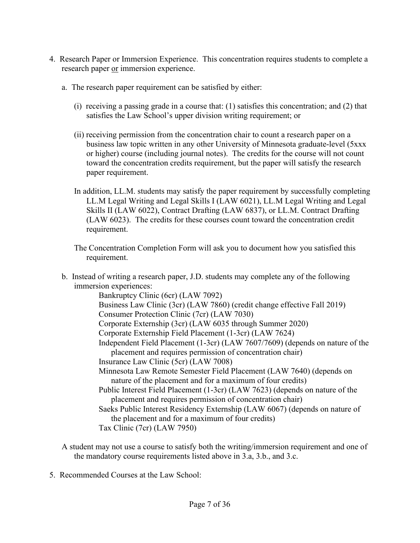- 4. Research Paper or Immersion Experience. This concentration requires students to complete a research paper or immersion experience.
	- a. The research paper requirement can be satisfied by either:
		- (i) receiving a passing grade in a course that: (1) satisfies this concentration; and (2) that satisfies the Law School's upper division writing requirement; or
		- (ii) receiving permission from the concentration chair to count a research paper on a business law topic written in any other University of Minnesota graduate-level (5xxx or higher) course (including journal notes). The credits for the course will not count toward the concentration credits requirement, but the paper will satisfy the research paper requirement.
		- In addition, LL.M. students may satisfy the paper requirement by successfully completing LL.M Legal Writing and Legal Skills I (LAW 6021), LL.M Legal Writing and Legal Skills II (LAW 6022), Contract Drafting (LAW 6837), or LL.M. Contract Drafting (LAW 6023). The credits for these courses count toward the concentration credit requirement.
		- The Concentration Completion Form will ask you to document how you satisfied this requirement.
	- b. Instead of writing a research paper, J.D. students may complete any of the following immersion experiences:

Bankruptcy Clinic (6cr) (LAW 7092)

Business Law Clinic (3cr) (LAW 7860) (credit change effective Fall 2019)

Consumer Protection Clinic (7cr) (LAW 7030)

Corporate Externship (3cr) (LAW 6035 through Summer 2020)

Corporate Externship Field Placement (1-3cr) (LAW 7624)

- Independent Field Placement (1-3cr) (LAW 7607/7609) (depends on nature of the placement and requires permission of concentration chair)
- Insurance Law Clinic (5cr) (LAW 7008)
- Minnesota Law Remote Semester Field Placement (LAW 7640) (depends on nature of the placement and for a maximum of four credits)
- Public Interest Field Placement (1-3cr) (LAW 7623) (depends on nature of the placement and requires permission of concentration chair)

Saeks Public Interest Residency Externship (LAW 6067) (depends on nature of the placement and for a maximum of four credits)

Tax Clinic (7cr) (LAW 7950)

- A student may not use a course to satisfy both the writing/immersion requirement and one of the mandatory course requirements listed above in 3.a, 3.b., and 3.c.
- 5. Recommended Courses at the Law School: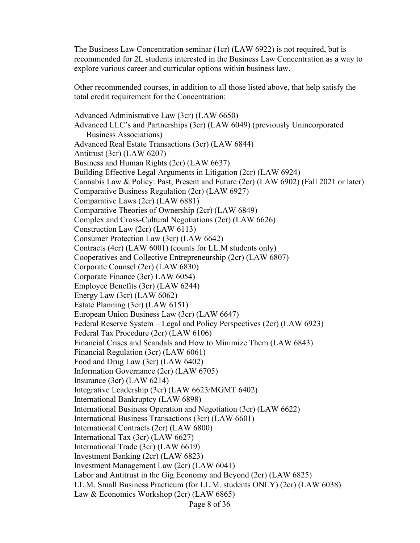The Business Law Concentration seminar (1cr) (LAW 6922) is not required, but is recommended for 2L students interested in the Business Law Concentration as a way to explore various career and curricular options within business law.

Other recommended courses, in addition to all those listed above, that help satisfy the total credit requirement for the Concentration:

Advanced Administrative Law (3cr) (LAW 6650) Advanced LLC's and Partnerships (3cr) (LAW 6049) (previously Unincorporated Business Associations) Advanced Real Estate Transactions (3cr) (LAW 6844) Antitrust (3cr) (LAW 6207) Business and Human Rights (2cr) (LAW 6637) Building Effective Legal Arguments in Litigation (2cr) (LAW 6924) Cannabis Law & Policy: Past, Present and Future (2cr) (LAW 6902) (Fall 2021 or later) Comparative Business Regulation (2cr) (LAW 6927) Comparative Laws (2cr) (LAW 6881) Comparative Theories of Ownership (2cr) (LAW 6849) Complex and Cross-Cultural Negotiations (2cr) (LAW 6626) Construction Law (2cr) (LAW 6113) Consumer Protection Law (3cr) (LAW 6642) Contracts (4cr) (LAW 6001) (counts for LL.M students only) Cooperatives and Collective Entrepreneurship (2cr) (LAW 6807) Corporate Counsel (2cr) (LAW 6830) Corporate Finance (3cr) LAW 6054) Employee Benefits (3cr) (LAW 6244) Energy Law (3cr) (LAW 6062) Estate Planning (3cr) (LAW 6151) European Union Business Law (3cr) (LAW 6647) Federal Reserve System – Legal and Policy Perspectives (2cr) (LAW 6923) Federal Tax Procedure (2cr) (LAW 6106) Financial Crises and Scandals and How to Minimize Them (LAW 6843) Financial Regulation (3cr) (LAW 6061) Food and Drug Law (3cr) (LAW 6402) Information Governance (2cr) (LAW 6705) Insurance (3cr) (LAW 6214) Integrative Leadership (3cr) (LAW 6623/MGMT 6402) International Bankruptcy (LAW 6898) International Business Operation and Negotiation (3cr) (LAW 6622) International Business Transactions (3cr) (LAW 6601) International Contracts (2cr) (LAW 6800) International Tax (3cr) (LAW 6627) International Trade (3cr) (LAW 6619) Investment Banking (2cr) (LAW 6823) Investment Management Law (2cr) (LAW 6041) Labor and Antitrust in the Gig Economy and Beyond (2cr) (LAW 6825) LL.M. Small Business Practicum (for LL.M. students ONLY) (2cr) (LAW 6038) Law & Economics Workshop (2cr) (LAW 6865)

Page 8 of 36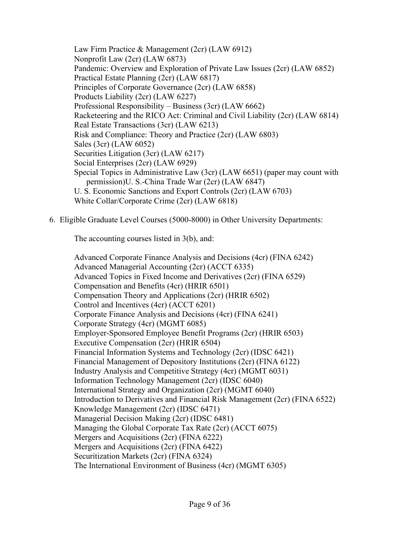Law Firm Practice & Management (2cr) (LAW 6912) Nonprofit Law (2cr) (LAW 6873) Pandemic: Overview and Exploration of Private Law Issues (2cr) (LAW 6852) Practical Estate Planning (2cr) (LAW 6817) Principles of Corporate Governance (2cr) (LAW 6858) Products Liability (2cr) (LAW 6227) Professional Responsibility – Business (3cr) (LAW 6662) Racketeering and the RICO Act: Criminal and Civil Liability (2cr) (LAW 6814) Real Estate Transactions (3cr) (LAW 6213) Risk and Compliance: Theory and Practice (2cr) (LAW 6803) Sales (3cr) (LAW 6052) Securities Litigation (3cr) (LAW 6217) Social Enterprises (2cr) (LAW 6929) Special Topics in Administrative Law (3cr) (LAW 6651) (paper may count with permission)U. S.-China Trade War (2cr) (LAW 6847) U. S. Economic Sanctions and Export Controls (2cr) (LAW 6703) White Collar/Corporate Crime (2cr) (LAW 6818)

6. Eligible Graduate Level Courses (5000-8000) in Other University Departments:

The accounting courses listed in 3(b), and:

Advanced Corporate Finance Analysis and Decisions (4cr) (FINA 6242) Advanced Managerial Accounting (2cr) (ACCT 6335) Advanced Topics in Fixed Income and Derivatives (2cr) (FINA 6529) Compensation and Benefits (4cr) (HRIR 6501) Compensation Theory and Applications (2cr) (HRIR 6502) Control and Incentives (4cr) (ACCT 6201) Corporate Finance Analysis and Decisions (4cr) (FINA 6241) Corporate Strategy (4cr) (MGMT 6085) Employer-Sponsored Employee Benefit Programs (2cr) (HRIR 6503) Executive Compensation (2cr) (HRIR 6504) Financial Information Systems and Technology (2cr) (IDSC 6421) Financial Management of Depository Institutions (2cr) (FINA 6122) Industry Analysis and Competitive Strategy (4cr) (MGMT 6031) Information Technology Management (2cr) (IDSC 6040) International Strategy and Organization (2cr) (MGMT 6040) Introduction to Derivatives and Financial Risk Management (2cr) (FINA 6522) Knowledge Management (2cr) (IDSC 6471) Managerial Decision Making (2cr) (IDSC 6481) Managing the Global Corporate Tax Rate (2cr) (ACCT 6075) Mergers and Acquisitions (2cr) (FINA 6222) Mergers and Acquisitions (2cr) (FINA 6422) Securitization Markets (2cr) (FINA 6324) The International Environment of Business (4cr) (MGMT 6305)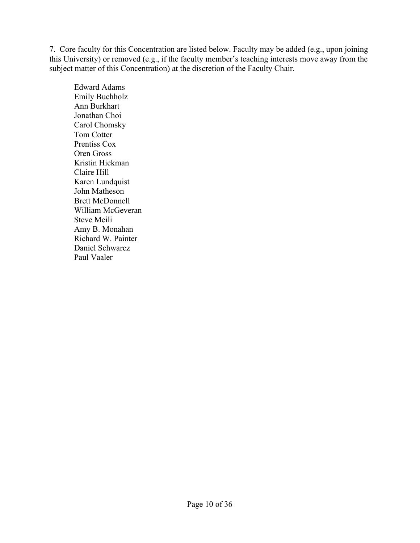7. Core faculty for this Concentration are listed below. Faculty may be added (e.g., upon joining this University) or removed (e.g., if the faculty member's teaching interests move away from the subject matter of this Concentration) at the discretion of the Faculty Chair.

Edward Adams Emily Buchholz Ann Burkhart Jonathan Choi Carol Chomsky Tom Cotter Prentiss Cox Oren Gross Kristin Hickman Claire Hill Karen Lundquist John Matheson Brett McDonnell William McGeveran Steve Meili Amy B. Monahan Richard W. Painter Daniel Schwarcz Paul Vaaler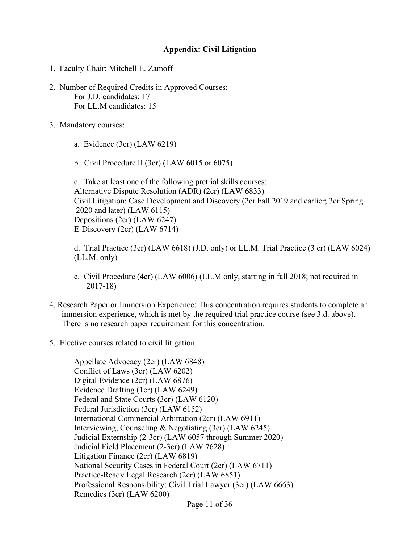#### **Appendix: Civil Litigation**

- <span id="page-11-0"></span>1. Faculty Chair: Mitchell E. Zamoff
- 2. Number of Required Credits in Approved Courses: For J.D. candidates: 17 For LL.M candidates: 15
- 3. Mandatory courses:
	- a. Evidence (3cr) (LAW 6219)
	- b. Civil Procedure II (3cr) (LAW 6015 or 6075)

c. Take at least one of the following pretrial skills courses: Alternative Dispute Resolution (ADR) (2cr) (LAW 6833) Civil Litigation: Case Development and Discovery (2cr Fall 2019 and earlier; 3cr Spring 2020 and later) (LAW 6115) Depositions (2cr) (LAW 6247) E-Discovery (2cr) (LAW 6714)

d. Trial Practice (3cr) (LAW 6618) (J.D. only) or LL.M. Trial Practice (3 cr) (LAW 6024) (LL.M. only)

- e. Civil Procedure (4cr) (LAW 6006) (LL.M only, starting in fall 2018; not required in 2017-18)
- 4. Research Paper or Immersion Experience: This concentration requires students to complete an immersion experience, which is met by the required trial practice course (see 3.d. above). There is no research paper requirement for this concentration.
- 5. Elective courses related to civil litigation:

Appellate Advocacy (2cr) (LAW 6848) Conflict of Laws (3cr) (LAW 6202) Digital Evidence (2cr) (LAW 6876) Evidence Drafting (1cr) (LAW 6249) Federal and State Courts (3cr) (LAW 6120) Federal Jurisdiction (3cr) (LAW 6152) International Commercial Arbitration (2cr) (LAW 6911) Interviewing, Counseling & Negotiating (3cr) (LAW 6245) Judicial Externship (2-3cr) (LAW 6057 through Summer 2020) Judicial Field Placement (2-3cr) (LAW 7628) Litigation Finance (2cr) (LAW 6819) National Security Cases in Federal Court (2cr) (LAW 6711) Practice-Ready Legal Research (2cr) (LAW 6851) Professional Responsibility: Civil Trial Lawyer (3cr) (LAW 6663) Remedies (3cr) (LAW 6200)

Page 11 of 36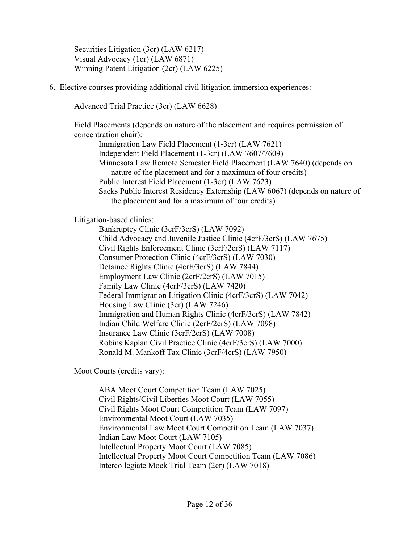Securities Litigation (3cr) (LAW 6217) Visual Advocacy (1cr) (LAW 6871) Winning Patent Litigation (2cr) (LAW 6225)

6. Elective courses providing additional civil litigation immersion experiences:

Advanced Trial Practice (3cr) (LAW 6628)

Field Placements (depends on nature of the placement and requires permission of concentration chair):

Immigration Law Field Placement (1-3cr) (LAW 7621) Independent Field Placement (1-3cr) (LAW 7607/7609) Minnesota Law Remote Semester Field Placement (LAW 7640) (depends on nature of the placement and for a maximum of four credits) Public Interest Field Placement (1-3cr) (LAW 7623) Saeks Public Interest Residency Externship (LAW 6067) (depends on nature of the placement and for a maximum of four credits)

Litigation-based clinics:

Bankruptcy Clinic (3crF/3crS) (LAW 7092) Child Advocacy and Juvenile Justice Clinic (4crF/3crS) (LAW 7675) Civil Rights Enforcement Clinic (3crF/2crS) (LAW 7117) Consumer Protection Clinic (4crF/3crS) (LAW 7030) Detainee Rights Clinic (4crF/3crS) (LAW 7844) Employment Law Clinic (2crF/2crS) (LAW 7015) Family Law Clinic (4crF/3crS) (LAW 7420) Federal Immigration Litigation Clinic (4crF/3crS) (LAW 7042) Housing Law Clinic (3cr) (LAW 7246) Immigration and Human Rights Clinic (4crF/3crS) (LAW 7842) Indian Child Welfare Clinic (2crF/2crS) (LAW 7098) Insurance Law Clinic (3crF/2crS) (LAW 7008) Robins Kaplan Civil Practice Clinic (4crF/3crS) (LAW 7000) Ronald M. Mankoff Tax Clinic (3crF/4crS) (LAW 7950)

Moot Courts (credits vary):

ABA Moot Court Competition Team (LAW 7025) Civil Rights/Civil Liberties Moot Court (LAW 7055) Civil Rights Moot Court Competition Team (LAW 7097) Environmental Moot Court (LAW 7035) Environmental Law Moot Court Competition Team (LAW 7037) Indian Law Moot Court (LAW 7105) Intellectual Property Moot Court (LAW 7085) Intellectual Property Moot Court Competition Team (LAW 7086) Intercollegiate Mock Trial Team (2cr) (LAW 7018)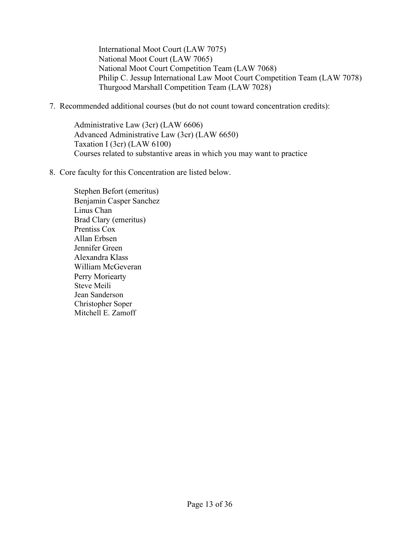International Moot Court (LAW 7075) National Moot Court (LAW 7065) National Moot Court Competition Team (LAW 7068) Philip C. Jessup International Law Moot Court Competition Team (LAW 7078) Thurgood Marshall Competition Team (LAW 7028)

7. Recommended additional courses (but do not count toward concentration credits):

Administrative Law (3cr) (LAW 6606) Advanced Administrative Law (3cr) (LAW 6650) Taxation I (3cr) (LAW 6100) Courses related to substantive areas in which you may want to practice

8. Core faculty for this Concentration are listed below.

Stephen Befort (emeritus) Benjamin Casper Sanchez Linus Chan Brad Clary (emeritus) Prentiss Cox Allan Erbsen Jennifer Green Alexandra Klass William McGeveran Perry Moriearty Steve Meili Jean Sanderson Christopher Soper Mitchell E. Zamoff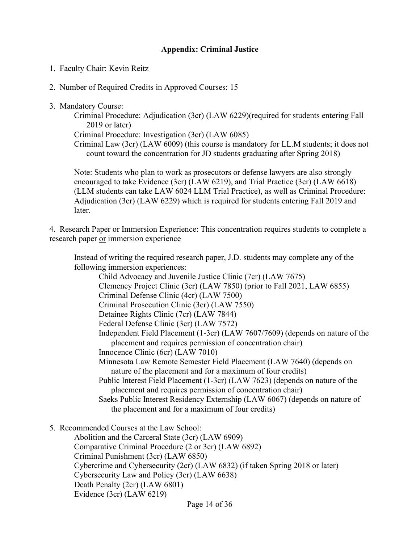# **Appendix: Criminal Justice**

- <span id="page-14-0"></span>1. Faculty Chair: Kevin Reitz
- 2. Number of Required Credits in Approved Courses: 15
- 3. Mandatory Course:

Criminal Procedure: Adjudication (3cr) (LAW 6229)(required for students entering Fall 2019 or later)

Criminal Procedure: Investigation (3cr) (LAW 6085)

Criminal Law (3cr) (LAW 6009) (this course is mandatory for LL.M students; it does not count toward the concentration for JD students graduating after Spring 2018)

Note: Students who plan to work as prosecutors or defense lawyers are also strongly encouraged to take Evidence (3cr) (LAW 6219), and Trial Practice (3cr) (LAW 6618) (LLM students can take LAW 6024 LLM Trial Practice), as well as Criminal Procedure: Adjudication (3cr) (LAW 6229) which is required for students entering Fall 2019 and later.

4. Research Paper or Immersion Experience: This concentration requires students to complete a research paper or immersion experience

Instead of writing the required research paper, J.D. students may complete any of the following immersion experiences: Child Advocacy and Juvenile Justice Clinic (7cr) (LAW 7675) Clemency Project Clinic (3cr) (LAW 7850) (prior to Fall 2021, LAW 6855) Criminal Defense Clinic (4cr) (LAW 7500) Criminal Prosecution Clinic (3cr) (LAW 7550) Detainee Rights Clinic (7cr) (LAW 7844) Federal Defense Clinic (3cr) (LAW 7572) Independent Field Placement (1-3cr) (LAW 7607/7609) (depends on nature of the placement and requires permission of concentration chair) Innocence Clinic (6cr) (LAW 7010) Minnesota Law Remote Semester Field Placement (LAW 7640) (depends on nature of the placement and for a maximum of four credits) Public Interest Field Placement (1-3cr) (LAW 7623) (depends on nature of the placement and requires permission of concentration chair) Saeks Public Interest Residency Externship (LAW 6067) (depends on nature of the placement and for a maximum of four credits)

5. Recommended Courses at the Law School:

Abolition and the Carceral State (3cr) (LAW 6909) Comparative Criminal Procedure (2 or 3cr) (LAW 6892) Criminal Punishment (3cr) (LAW 6850) Cybercrime and Cybersecurity (2cr) (LAW 6832) (if taken Spring 2018 or later) Cybersecurity Law and Policy (3cr) (LAW 6638) Death Penalty (2cr) (LAW 6801) Evidence (3cr) (LAW 6219)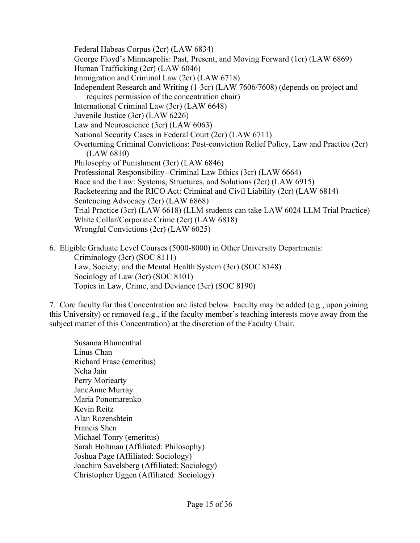Federal Habeas Corpus (2cr) (LAW 6834) George Floyd's Minneapolis: Past, Present, and Moving Forward (1cr) (LAW 6869) Human Trafficking (2cr) (LAW 6046) Immigration and Criminal Law (2cr) (LAW 6718) Independent Research and Writing (1-3cr) (LAW 7606/7608) (depends on project and requires permission of the concentration chair) International Criminal Law (3cr) (LAW 6648) Juvenile Justice (3cr) (LAW 6226) Law and Neuroscience (3cr) (LAW 6063) National Security Cases in Federal Court (2cr) (LAW 6711) Overturning Criminal Convictions: Post-conviction Relief Policy, Law and Practice (2cr) (LAW 6810) Philosophy of Punishment (3cr) (LAW 6846) Professional Responsibility--Criminal Law Ethics (3cr) (LAW 6664) Race and the Law: Systems, Structures, and Solutions (2cr) (LAW 6915) Racketeering and the RICO Act: Criminal and Civil Liability (2cr) (LAW 6814) Sentencing Advocacy (2cr) (LAW 6868) Trial Practice (3cr) (LAW 6618) (LLM students can take LAW 6024 LLM Trial Practice) White Collar/Corporate Crime (2cr) (LAW 6818) Wrongful Convictions (2cr) (LAW 6025)

6. Eligible Graduate Level Courses (5000-8000) in Other University Departments: Criminology (3cr) (SOC 8111) Law, Society, and the Mental Health System (3cr) (SOC 8148) Sociology of Law (3cr) (SOC 8101) Topics in Law, Crime, and Deviance (3cr) (SOC 8190)

7. Core faculty for this Concentration are listed below. Faculty may be added (e.g., upon joining this University) or removed (e.g., if the faculty member's teaching interests move away from the subject matter of this Concentration) at the discretion of the Faculty Chair.

Susanna Blumenthal Linus Chan Richard Frase (emeritus) Neha Jain Perry Moriearty JaneAnne Murray Maria Ponomarenko Kevin Reitz Alan Rozenshtein Francis Shen Michael Tonry (emeritus) Sarah Holtman (Affiliated: Philosophy) Joshua Page (Affiliated: Sociology) Joachim Savelsberg (Affiliated: Sociology) Christopher Uggen (Affiliated: Sociology)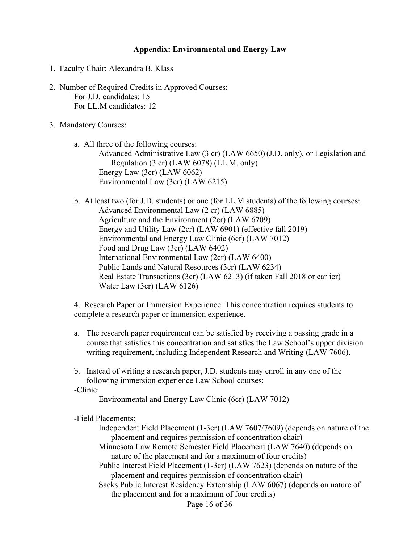#### **Appendix: Environmental and Energy Law**

- <span id="page-16-0"></span>1. Faculty Chair: Alexandra B. Klass
- 2. Number of Required Credits in Approved Courses: For J.D. candidates: 15 For LL.M candidates: 12
- 3. Mandatory Courses:
	- a. All three of the following courses: Advanced Administrative Law (3 cr) (LAW 6650) (J.D. only), or Legislation and Regulation (3 cr) (LAW 6078) (LL.M. only) Energy Law (3cr) (LAW 6062) Environmental Law (3cr) (LAW 6215)
	- b. At least two (for J.D. students) or one (for LL.M students) of the following courses: Advanced Environmental Law (2 cr) (LAW 6885) Agriculture and the Environment (2cr) (LAW 6709) Energy and Utility Law (2cr) (LAW 6901) (effective fall 2019) Environmental and Energy Law Clinic (6cr) (LAW 7012) Food and Drug Law (3cr) (LAW 6402) International Environmental Law (2cr) (LAW 6400) Public Lands and Natural Resources (3cr) (LAW 6234) Real Estate Transactions (3cr) (LAW 6213) (if taken Fall 2018 or earlier) Water Law (3cr) (LAW 6126)

4. Research Paper or Immersion Experience: This concentration requires students to complete a research paper or immersion experience.

- a. The research paper requirement can be satisfied by receiving a passing grade in a course that satisfies this concentration and satisfies the Law School's upper division writing requirement, including Independent Research and Writing (LAW 7606).
- b. Instead of writing a research paper, J.D. students may enroll in any one of the following immersion experience Law School courses: -Clinic:

Environmental and Energy Law Clinic (6cr) (LAW 7012)

-Field Placements:

- Independent Field Placement (1-3cr) (LAW 7607/7609) (depends on nature of the placement and requires permission of concentration chair)
- Minnesota Law Remote Semester Field Placement (LAW 7640) (depends on nature of the placement and for a maximum of four credits)
- Public Interest Field Placement (1-3cr) (LAW 7623) (depends on nature of the placement and requires permission of concentration chair)

Saeks Public Interest Residency Externship (LAW 6067) (depends on nature of the placement and for a maximum of four credits)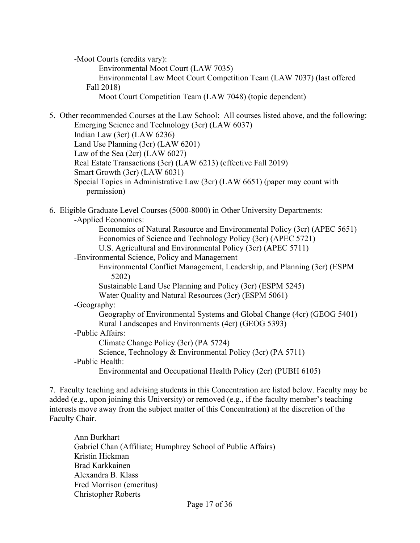-Moot Courts (credits vary): Environmental Moot Court (LAW 7035) Environmental Law Moot Court Competition Team (LAW 7037) (last offered Fall 2018) Moot Court Competition Team (LAW 7048) (topic dependent)

5. Other recommended Courses at the Law School: All courses listed above, and the following: Emerging Science and Technology (3cr) (LAW 6037) Indian Law (3cr) (LAW 6236)

Land Use Planning (3cr) (LAW 6201)

Law of the Sea (2cr) (LAW 6027)

Real Estate Transactions (3cr) (LAW 6213) (effective Fall 2019)

- Smart Growth (3cr) (LAW 6031)
- Special Topics in Administrative Law (3cr) (LAW 6651) (paper may count with permission)

#### 6. Eligible Graduate Level Courses (5000-8000) in Other University Departments: -Applied Economics:

Economics of Natural Resource and Environmental Policy (3cr) (APEC 5651) Economics of Science and Technology Policy (3cr) (APEC 5721)

- U.S. Agricultural and Environmental Policy (3cr) (APEC 5711)
- -Environmental Science, Policy and Management
	- Environmental Conflict Management, Leadership, and Planning (3cr) (ESPM 5202)
	- Sustainable Land Use Planning and Policy (3cr) (ESPM 5245)

Water Quality and Natural Resources (3cr) (ESPM 5061)

# -Geography:

Geography of Environmental Systems and Global Change (4cr) (GEOG 5401) Rural Landscapes and Environments (4cr) (GEOG 5393) -Public Affairs:

Climate Change Policy (3cr) (PA 5724)

Science, Technology & Environmental Policy (3cr) (PA 5711)

-Public Health:

Environmental and Occupational Health Policy (2cr) (PUBH 6105)

7. Faculty teaching and advising students in this Concentration are listed below. Faculty may be added (e.g., upon joining this University) or removed (e.g., if the faculty member's teaching interests move away from the subject matter of this Concentration) at the discretion of the Faculty Chair.

Ann Burkhart Gabriel Chan (Affiliate; Humphrey School of Public Affairs) Kristin Hickman Brad Karkkainen Alexandra B. Klass Fred Morrison (emeritus) Christopher Roberts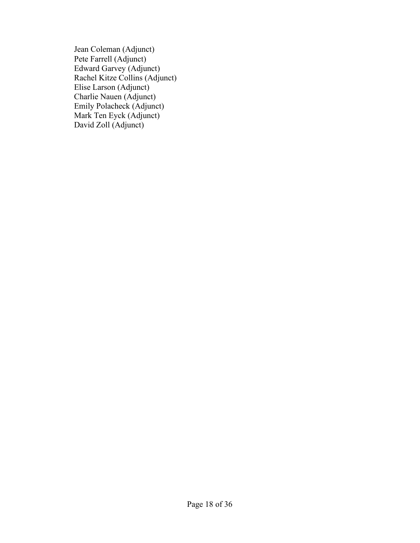Jean Coleman (Adjunct) Pete Farrell (Adjunct) Edward Garvey (Adjunct) Rachel Kitze Collins (Adjunct) Elise Larson (Adjunct) Charlie Nauen (Adjunct) Emily Polacheck (Adjunct) Mark Ten Eyck (Adjunct) David Zoll (Adjunct)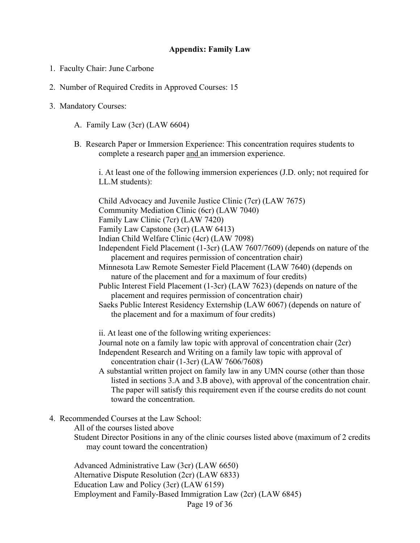#### **Appendix: Family Law**

- <span id="page-19-0"></span>1. Faculty Chair: June Carbone
- 2. Number of Required Credits in Approved Courses: 15
- 3. Mandatory Courses:
	- A. Family Law (3cr) (LAW 6604)
	- B. Research Paper or Immersion Experience: This concentration requires students to complete a research paper and an immersion experience.

i. At least one of the following immersion experiences (J.D. only; not required for LL.M students):

Child Advocacy and Juvenile Justice Clinic (7cr) (LAW 7675) Community Mediation Clinic (6cr) (LAW 7040) Family Law Clinic (7cr) (LAW 7420) Family Law Capstone (3cr) (LAW 6413) Indian Child Welfare Clinic (4cr) (LAW 7098) Independent Field Placement (1-3cr) (LAW 7607/7609) (depends on nature of the placement and requires permission of concentration chair) Minnesota Law Remote Semester Field Placement (LAW 7640) (depends on nature of the placement and for a maximum of four credits) Public Interest Field Placement (1-3cr) (LAW 7623) (depends on nature of the placement and requires permission of concentration chair) Saeks Public Interest Residency Externship (LAW 6067) (depends on nature of

the placement and for a maximum of four credits)

ii. At least one of the following writing experiences:

Journal note on a family law topic with approval of concentration chair (2cr) Independent Research and Writing on a family law topic with approval of concentration chair (1-3cr) (LAW 7606/7608)

- A substantial written project on family law in any UMN course (other than those listed in sections 3.A and 3.B above), with approval of the concentration chair. The paper will satisfy this requirement even if the course credits do not count toward the concentration.
- 4. Recommended Courses at the Law School:

All of the courses listed above

Student Director Positions in any of the clinic courses listed above (maximum of 2 credits may count toward the concentration)

Page 19 of 36 Advanced Administrative Law (3cr) (LAW 6650) Alternative Dispute Resolution (2cr) (LAW 6833) Education Law and Policy (3cr) (LAW 6159) Employment and Family-Based Immigration Law (2cr) (LAW 6845)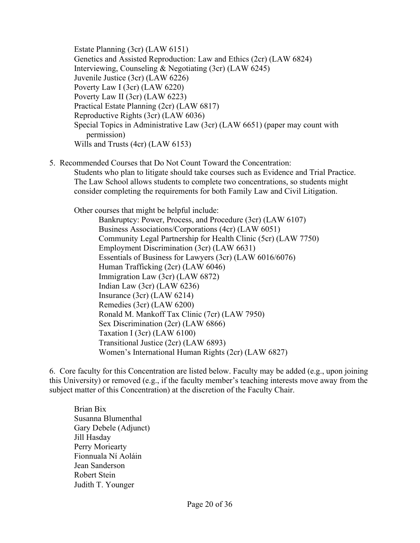Estate Planning (3cr) (LAW 6151) Genetics and Assisted Reproduction: Law and Ethics (2cr) (LAW 6824) Interviewing, Counseling & Negotiating (3cr) (LAW 6245) Juvenile Justice (3cr) (LAW 6226) Poverty Law I (3cr) (LAW 6220) Poverty Law II (3cr) (LAW 6223) Practical Estate Planning (2cr) (LAW 6817) Reproductive Rights (3cr) (LAW 6036) Special Topics in Administrative Law (3cr) (LAW 6651) (paper may count with permission) Wills and Trusts (4cr) (LAW 6153)

5. Recommended Courses that Do Not Count Toward the Concentration:

Students who plan to litigate should take courses such as Evidence and Trial Practice. The Law School allows students to complete two concentrations, so students might consider completing the requirements for both Family Law and Civil Litigation.

Other courses that might be helpful include:

Bankruptcy: Power, Process, and Procedure (3cr) (LAW 6107) Business Associations/Corporations (4cr) (LAW 6051) Community Legal Partnership for Health Clinic (5cr) (LAW 7750) Employment Discrimination (3cr) (LAW 6631) Essentials of Business for Lawyers (3cr) (LAW 6016/6076) Human Trafficking (2cr) (LAW 6046) Immigration Law (3cr) (LAW 6872) Indian Law (3cr) (LAW 6236) Insurance (3cr) (LAW 6214) Remedies (3cr) (LAW 6200) Ronald M. Mankoff Tax Clinic (7cr) (LAW 7950) Sex Discrimination (2cr) (LAW 6866) Taxation I (3cr) (LAW 6100) Transitional Justice (2cr) (LAW 6893) Women's International Human Rights (2cr) (LAW 6827)

6. Core faculty for this Concentration are listed below. Faculty may be added (e.g., upon joining this University) or removed (e.g., if the faculty member's teaching interests move away from the subject matter of this Concentration) at the discretion of the Faculty Chair.

Brian Bix Susanna Blumenthal Gary Debele (Adjunct) Jill Hasday Perry Moriearty Fionnuala Ní Aoláin Jean Sanderson Robert Stein Judith T. Younger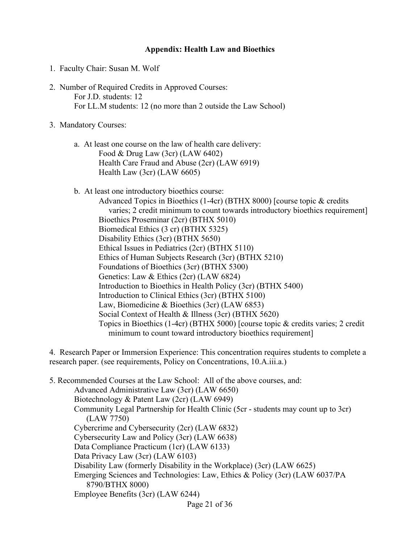#### **Appendix: Health Law and Bioethics**

- <span id="page-21-0"></span>1. Faculty Chair: Susan M. Wolf
- 2. Number of Required Credits in Approved Courses: For J.D. students: 12 For LL.M students: 12 (no more than 2 outside the Law School)
- 3. Mandatory Courses:
	- a. At least one course on the law of health care delivery: Food & Drug Law (3cr) (LAW 6402) Health Care Fraud and Abuse (2cr) (LAW 6919) Health Law (3cr) (LAW 6605)
	- b. At least one introductory bioethics course:

Advanced Topics in Bioethics (1-4cr) (BTHX 8000) [course topic & credits varies; 2 credit minimum to count towards introductory bioethics requirement] Bioethics Proseminar (2cr) (BTHX 5010) Biomedical Ethics (3 cr) (BTHX 5325) Disability Ethics (3cr) (BTHX 5650) Ethical Issues in Pediatrics (2cr) (BTHX 5110) Ethics of Human Subjects Research (3cr) (BTHX 5210) Foundations of Bioethics (3cr) (BTHX 5300) Genetics: Law & Ethics (2cr) (LAW 6824) Introduction to Bioethics in Health Policy (3cr) (BTHX 5400) Introduction to Clinical Ethics (3cr) (BTHX 5100) Law, Biomedicine & Bioethics (3cr) (LAW 6853) Social Context of Health & Illness (3cr) (BTHX 5620) Topics in Bioethics (1-4cr) (BTHX 5000) [course topic & credits varies; 2 credit minimum to count toward introductory bioethics requirement]

4. Research Paper or Immersion Experience: This concentration requires students to complete a research paper. (see requirements, Policy on Concentrations, 10.A.iii.a.)

5. Recommended Courses at the Law School: All of the above courses, and: Advanced Administrative Law (3cr) (LAW 6650) Biotechnology & Patent Law (2cr) (LAW 6949) Community Legal Partnership for Health Clinic (5cr - students may count up to 3cr) (LAW 7750) Cybercrime and Cybersecurity (2cr) (LAW 6832) Cybersecurity Law and Policy (3cr) (LAW 6638) Data Compliance Practicum (1cr) (LAW 6133) Data Privacy Law (3cr) (LAW 6103) Disability Law (formerly Disability in the Workplace) (3cr) (LAW 6625) Emerging Sciences and Technologies: Law, Ethics & Policy (3cr) (LAW 6037/PA 8790/BTHX 8000) Employee Benefits (3cr) (LAW 6244)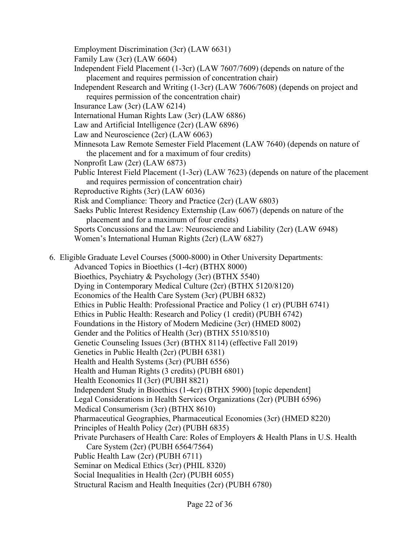Employment Discrimination (3cr) (LAW 6631)

Family Law (3cr) (LAW 6604)

Independent Field Placement (1-3cr) (LAW 7607/7609) (depends on nature of the placement and requires permission of concentration chair)

Independent Research and Writing (1-3cr) (LAW 7606/7608) (depends on project and requires permission of the concentration chair)

Insurance Law (3cr) (LAW 6214)

International Human Rights Law (3cr) (LAW 6886)

Law and Artificial Intelligence (2cr) (LAW 6896)

Law and Neuroscience (2cr) (LAW 6063)

Minnesota Law Remote Semester Field Placement (LAW 7640) (depends on nature of the placement and for a maximum of four credits)

Nonprofit Law (2cr) (LAW 6873)

Public Interest Field Placement (1-3cr) (LAW 7623) (depends on nature of the placement and requires permission of concentration chair)

Reproductive Rights (3cr) (LAW 6036)

Risk and Compliance: Theory and Practice (2cr) (LAW 6803)

Saeks Public Interest Residency Externship (Law 6067) (depends on nature of the placement and for a maximum of four credits)

Sports Concussions and the Law: Neuroscience and Liability (2cr) (LAW 6948) Women's International Human Rights (2cr) (LAW 6827)

6. Eligible Graduate Level Courses (5000-8000) in Other University Departments:

Advanced Topics in Bioethics (1-4cr) (BTHX 8000)

Bioethics, Psychiatry & Psychology (3cr) (BTHX 5540)

Dying in Contemporary Medical Culture (2cr) (BTHX 5120/8120)

Economics of the Health Care System (3cr) (PUBH 6832)

Ethics in Public Health: Professional Practice and Policy (1 cr) (PUBH 6741)

Ethics in Public Health: Research and Policy (1 credit) (PUBH 6742)

Foundations in the History of Modern Medicine (3cr) (HMED 8002)

Gender and the Politics of Health (3cr) (BTHX 5510/8510)

Genetic Counseling Issues (3cr) (BTHX 8114) (effective Fall 2019)

Genetics in Public Health (2cr) (PUBH 6381)

Health and Health Systems (3cr) (PUBH 6556)

Health and Human Rights (3 credits) (PUBH 6801)

Health Economics II (3cr) (PUBH 8821)

Independent Study in Bioethics (1-4cr) (BTHX 5900) [topic dependent]

Legal Considerations in Health Services Organizations (2cr) (PUBH 6596)

Medical Consumerism (3cr) (BTHX 8610)

Pharmaceutical Geographies, Pharmaceutical Economies (3cr) (HMED 8220)

Principles of Health Policy (2cr) (PUBH 6835)

Private Purchasers of Health Care: Roles of Employers & Health Plans in U.S. Health

Care System (2cr) (PUBH 6564/7564)

Public Health Law (2cr) (PUBH 6711)

Seminar on Medical Ethics (3cr) (PHIL 8320)

Social Inequalities in Health (2cr) (PUBH 6055)

Structural Racism and Health Inequities (2cr) (PUBH 6780)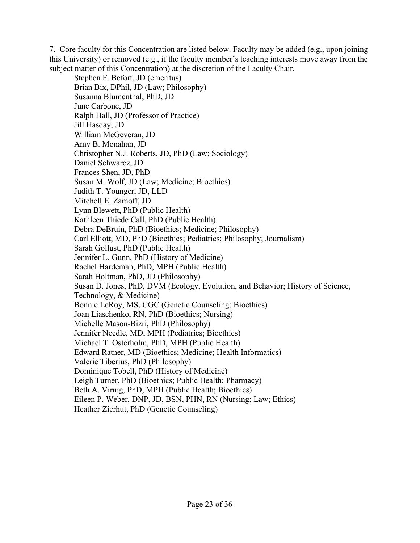7. Core faculty for this Concentration are listed below. Faculty may be added (e.g., upon joining this University) or removed (e.g., if the faculty member's teaching interests move away from the subject matter of this Concentration) at the discretion of the Faculty Chair.

Stephen F. Befort, JD (emeritus) Brian Bix, DPhil, JD (Law; Philosophy) Susanna Blumenthal, PhD, JD June Carbone, JD Ralph Hall, JD (Professor of Practice) Jill Hasday, JD William McGeveran, JD Amy B. Monahan, JD Christopher N.J. Roberts, JD, PhD (Law; Sociology) Daniel Schwarcz, JD Frances Shen, JD, PhD Susan M. Wolf, JD (Law; Medicine; Bioethics) Judith T. Younger, JD, LLD Mitchell E. Zamoff, JD Lynn Blewett, PhD (Public Health) Kathleen Thiede Call, PhD (Public Health) Debra DeBruin, PhD (Bioethics; Medicine; Philosophy) Carl Elliott, MD, PhD (Bioethics; Pediatrics; Philosophy; Journalism) Sarah Gollust, PhD (Public Health) Jennifer L. Gunn, PhD (History of Medicine) Rachel Hardeman, PhD, MPH (Public Health) Sarah Holtman, PhD, JD (Philosophy) Susan D. Jones, PhD, DVM (Ecology, Evolution, and Behavior; History of Science, Technology, & Medicine) Bonnie LeRoy, MS, CGC (Genetic Counseling; Bioethics) Joan Liaschenko, RN, PhD (Bioethics; Nursing) Michelle Mason-Bizri, PhD (Philosophy) Jennifer Needle, MD, MPH (Pediatrics; Bioethics) Michael T. Osterholm, PhD, MPH (Public Health) Edward Ratner, MD (Bioethics; Medicine; Health Informatics) Valerie Tiberius, PhD (Philosophy) Dominique Tobell, PhD (History of Medicine) Leigh Turner, PhD (Bioethics; Public Health; Pharmacy) Beth A. Virnig, PhD, MPH (Public Health; Bioethics) Eileen P. Weber, DNP, JD, BSN, PHN, RN (Nursing; Law; Ethics) Heather Zierhut, PhD (Genetic Counseling)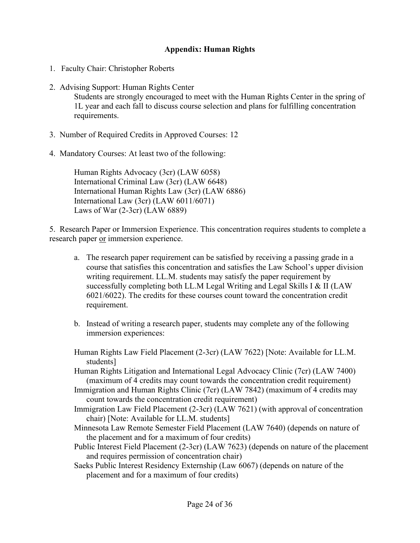# **Appendix: Human Rights**

- <span id="page-24-0"></span>1. Faculty Chair: Christopher Roberts
- 2. Advising Support: Human Rights Center Students are strongly encouraged to meet with the Human Rights Center in the spring of 1L year and each fall to discuss course selection and plans for fulfilling concentration requirements.
- 3. Number of Required Credits in Approved Courses: 12
- 4. Mandatory Courses: At least two of the following:

Human Rights Advocacy (3cr) (LAW 6058) International Criminal Law (3cr) (LAW 6648) International Human Rights Law (3cr) (LAW 6886) International Law (3cr) (LAW 6011/6071) Laws of War (2-3cr) (LAW 6889)

5. Research Paper or Immersion Experience. This concentration requires students to complete a research paper or immersion experience.

- a. The research paper requirement can be satisfied by receiving a passing grade in a course that satisfies this concentration and satisfies the Law School's upper division writing requirement. LL.M. students may satisfy the paper requirement by successfully completing both LL.M Legal Writing and Legal Skills I & II (LAW 6021/6022). The credits for these courses count toward the concentration credit requirement.
- b. Instead of writing a research paper, students may complete any of the following immersion experiences:

Human Rights Law Field Placement (2-3cr) (LAW 7622) [Note: Available for LL.M. students]

Human Rights Litigation and International Legal Advocacy Clinic (7cr) (LAW 7400) (maximum of 4 credits may count towards the concentration credit requirement)

Immigration and Human Rights Clinic (7cr) (LAW 7842) (maximum of 4 credits may count towards the concentration credit requirement)

Immigration Law Field Placement (2-3cr) (LAW 7621) (with approval of concentration chair) [Note: Available for LL.M. students]

Minnesota Law Remote Semester Field Placement (LAW 7640) (depends on nature of the placement and for a maximum of four credits)

Public Interest Field Placement (2-3cr) (LAW 7623) (depends on nature of the placement and requires permission of concentration chair)

Saeks Public Interest Residency Externship (Law 6067) (depends on nature of the placement and for a maximum of four credits)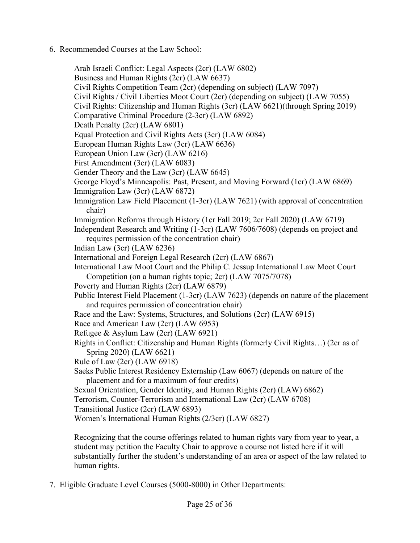6. Recommended Courses at the Law School:

Arab Israeli Conflict: Legal Aspects (2cr) (LAW 6802) Business and Human Rights (2cr) (LAW 6637) Civil Rights Competition Team (2cr) (depending on subject) (LAW 7097) Civil Rights / Civil Liberties Moot Court (2cr) (depending on subject) (LAW 7055) Civil Rights: Citizenship and Human Rights (3cr) (LAW 6621)(through Spring 2019) Comparative Criminal Procedure (2-3cr) (LAW 6892) Death Penalty (2cr) (LAW 6801) Equal Protection and Civil Rights Acts (3cr) (LAW 6084) European Human Rights Law (3cr) (LAW 6636) European Union Law (3cr) (LAW 6216) First Amendment (3cr) (LAW 6083) Gender Theory and the Law (3cr) (LAW 6645) George Floyd's Minneapolis: Past, Present, and Moving Forward (1cr) (LAW 6869) Immigration Law (3cr) (LAW 6872) Immigration Law Field Placement (1-3cr) (LAW 7621) (with approval of concentration chair) Immigration Reforms through History (1cr Fall 2019; 2cr Fall 2020) (LAW 6719) Independent Research and Writing (1-3cr) (LAW 7606/7608) (depends on project and requires permission of the concentration chair) Indian Law (3cr) (LAW 6236) International and Foreign Legal Research (2cr) (LAW 6867) International Law Moot Court and the Philip C. Jessup International Law Moot Court Competition (on a human rights topic; 2cr) (LAW 7075/7078) Poverty and Human Rights (2cr) (LAW 6879) Public Interest Field Placement (1-3cr) (LAW 7623) (depends on nature of the placement and requires permission of concentration chair) Race and the Law: Systems, Structures, and Solutions (2cr) (LAW 6915) Race and American Law (2cr) (LAW 6953) Refugee & Asylum Law (2cr) (LAW 6921) Rights in Conflict: Citizenship and Human Rights (formerly Civil Rights…) (2cr as of Spring 2020) (LAW 6621) Rule of Law (2cr) (LAW 6918) Saeks Public Interest Residency Externship (Law 6067) (depends on nature of the placement and for a maximum of four credits) Sexual Orientation, Gender Identity, and Human Rights (2cr) (LAW) 6862) Terrorism, Counter-Terrorism and International Law (2cr) (LAW 6708) Transitional Justice (2cr) (LAW 6893) Women's International Human Rights (2/3cr) (LAW 6827)

Recognizing that the course offerings related to human rights vary from year to year, a student may petition the Faculty Chair to approve a course not listed here if it will substantially further the student's understanding of an area or aspect of the law related to human rights.

7. Eligible Graduate Level Courses (5000-8000) in Other Departments: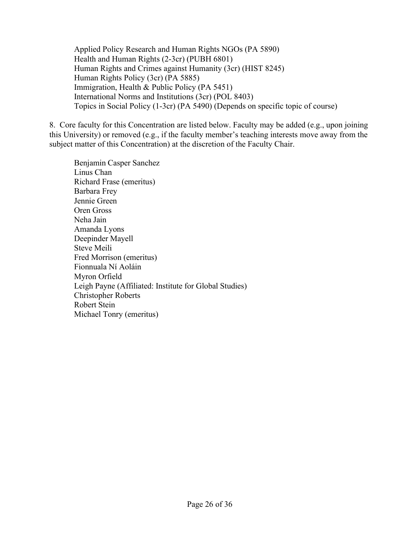Applied Policy Research and Human Rights NGOs (PA 5890) Health and Human Rights (2-3cr) (PUBH 6801) Human Rights and Crimes against Humanity (3cr) (HIST 8245) Human Rights Policy (3cr) (PA 5885) Immigration, Health & Public Policy (PA 5451) International Norms and Institutions (3cr) (POL 8403) Topics in Social Policy (1-3cr) (PA 5490) (Depends on specific topic of course)

8. Core faculty for this Concentration are listed below. Faculty may be added (e.g., upon joining this University) or removed (e.g., if the faculty member's teaching interests move away from the subject matter of this Concentration) at the discretion of the Faculty Chair.

Benjamin Casper Sanchez Linus Chan Richard Frase (emeritus) Barbara Frey Jennie Green Oren Gross Neha Jain Amanda Lyons Deepinder Mayell Steve Meili Fred Morrison (emeritus) Fionnuala Ní Aoláin Myron Orfield Leigh Payne (Affiliated: Institute for Global Studies) Christopher Roberts Robert Stein Michael Tonry (emeritus)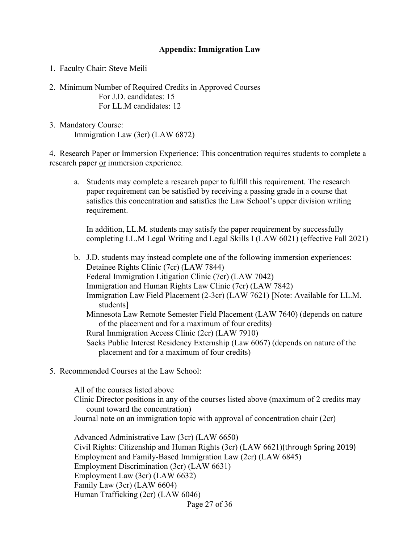# **Appendix: Immigration Law**

<span id="page-27-0"></span>1. Faculty Chair: Steve Meili

- 2. Minimum Number of Required Credits in Approved Courses For J.D. candidates: 15 For LL.M candidates: 12
- 3. Mandatory Course: Immigration Law (3cr) (LAW 6872)

4. Research Paper or Immersion Experience: This concentration requires students to complete a research paper or immersion experience.

a. Students may complete a research paper to fulfill this requirement. The research paper requirement can be satisfied by receiving a passing grade in a course that satisfies this concentration and satisfies the Law School's upper division writing requirement.

In addition, LL.M. students may satisfy the paper requirement by successfully completing LL.M Legal Writing and Legal Skills I (LAW 6021) (effective Fall 2021)

b. J.D. students may instead complete one of the following immersion experiences: Detainee Rights Clinic (7cr) (LAW 7844) Federal Immigration Litigation Clinic (7cr) (LAW 7042) Immigration and Human Rights Law Clinic (7cr) (LAW 7842) Immigration Law Field Placement (2-3cr) (LAW 7621) [Note: Available for LL.M. students] Minnesota Law Remote Semester Field Placement (LAW 7640) (depends on nature of the placement and for a maximum of four credits) Rural Immigration Access Clinic (2cr) (LAW 7910) Saeks Public Interest Residency Externship (Law 6067) (depends on nature of the placement and for a maximum of four credits)

5. Recommended Courses at the Law School:

All of the courses listed above Clinic Director positions in any of the courses listed above (maximum of 2 credits may count toward the concentration) Journal note on an immigration topic with approval of concentration chair (2cr)

Page 27 of 36 Advanced Administrative Law (3cr) (LAW 6650) Civil Rights: Citizenship and Human Rights (3cr) (LAW 6621)(through Spring 2019) Employment and Family-Based Immigration Law (2cr) (LAW 6845) Employment Discrimination (3cr) (LAW 6631) Employment Law (3cr) (LAW 6632) Family Law (3cr) (LAW 6604) Human Trafficking (2cr) (LAW 6046)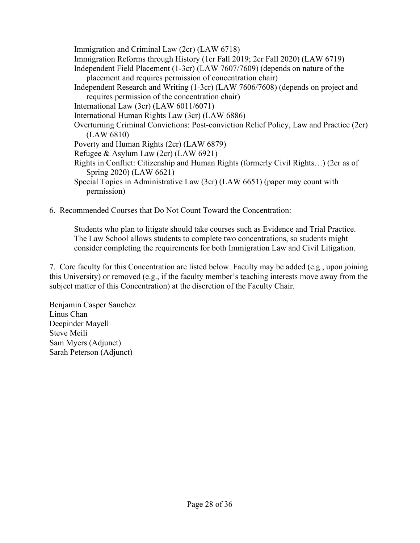Immigration and Criminal Law (2cr) (LAW 6718) Immigration Reforms through History (1cr Fall 2019; 2cr Fall 2020) (LAW 6719) Independent Field Placement (1-3cr) (LAW 7607/7609) (depends on nature of the placement and requires permission of concentration chair) Independent Research and Writing (1-3cr) (LAW 7606/7608) (depends on project and requires permission of the concentration chair) International Law (3cr) (LAW 6011/6071) International Human Rights Law (3cr) (LAW 6886) Overturning Criminal Convictions: Post-conviction Relief Policy, Law and Practice (2cr) (LAW 6810) Poverty and Human Rights (2cr) (LAW 6879) Refugee & Asylum Law (2cr) (LAW 6921) Rights in Conflict: Citizenship and Human Rights (formerly Civil Rights…) (2cr as of Spring 2020) (LAW 6621) Special Topics in Administrative Law (3cr) (LAW 6651) (paper may count with permission)

6. Recommended Courses that Do Not Count Toward the Concentration:

Students who plan to litigate should take courses such as Evidence and Trial Practice. The Law School allows students to complete two concentrations, so students might consider completing the requirements for both Immigration Law and Civil Litigation.

7. Core faculty for this Concentration are listed below. Faculty may be added (e.g., upon joining this University) or removed (e.g., if the faculty member's teaching interests move away from the subject matter of this Concentration) at the discretion of the Faculty Chair.

Benjamin Casper Sanchez Linus Chan Deepinder Mayell Steve Meili Sam Myers (Adjunct) Sarah Peterson (Adjunct)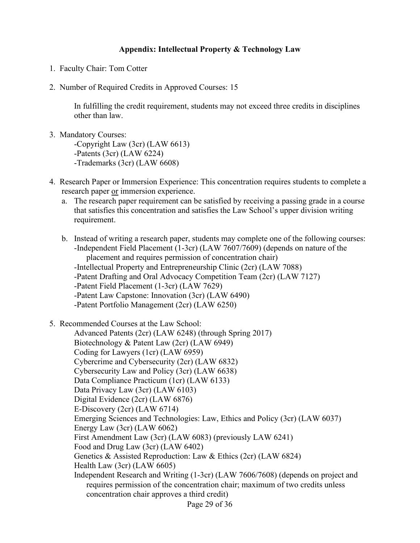# **Appendix: Intellectual Property & Technology Law**

- <span id="page-29-0"></span>1. Faculty Chair: Tom Cotter
- 2. Number of Required Credits in Approved Courses: 15

In fulfilling the credit requirement, students may not exceed three credits in disciplines other than law.

- 3. Mandatory Courses: -Copyright Law (3cr) (LAW 6613) -Patents (3cr) (LAW 6224) -Trademarks (3cr) (LAW 6608)
- 4. Research Paper or Immersion Experience: This concentration requires students to complete a research paper or immersion experience.
	- a. The research paper requirement can be satisfied by receiving a passing grade in a course that satisfies this concentration and satisfies the Law School's upper division writing requirement.
	- b. Instead of writing a research paper, students may complete one of the following courses: -Independent Field Placement (1-3cr) (LAW 7607/7609) (depends on nature of the placement and requires permission of concentration chair) -Intellectual Property and Entrepreneurship Clinic (2cr) (LAW 7088)
		- -Patent Drafting and Oral Advocacy Competition Team (2cr) (LAW 7127)
		- -Patent Field Placement (1-3cr) (LAW 7629)
		- -Patent Law Capstone: Innovation (3cr) (LAW 6490)
		- -Patent Portfolio Management (2cr) (LAW 6250)
- 5. Recommended Courses at the Law School:

Page 29 of 36 Advanced Patents (2cr) (LAW 6248) (through Spring 2017) Biotechnology & Patent Law (2cr) (LAW 6949) Coding for Lawyers (1cr) (LAW 6959) Cybercrime and Cybersecurity (2cr) (LAW 6832) Cybersecurity Law and Policy (3cr) (LAW 6638) Data Compliance Practicum (1cr) (LAW 6133) Data Privacy Law (3cr) (LAW 6103) Digital Evidence (2cr) (LAW 6876) E-Discovery (2cr) (LAW 6714) Emerging Sciences and Technologies: Law, Ethics and Policy (3cr) (LAW 6037) Energy Law (3cr) (LAW 6062) First Amendment Law (3cr) (LAW 6083) (previously LAW 6241) Food and Drug Law (3cr) (LAW 6402) Genetics & Assisted Reproduction: Law & Ethics (2cr) (LAW 6824) Health Law (3cr) (LAW 6605) Independent Research and Writing (1-3cr) (LAW 7606/7608) (depends on project and requires permission of the concentration chair; maximum of two credits unless concentration chair approves a third credit)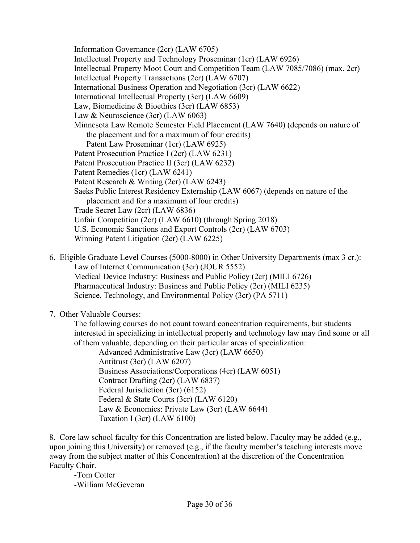Information Governance (2cr) (LAW 6705) Intellectual Property and Technology Proseminar (1cr) (LAW 6926) Intellectual Property Moot Court and Competition Team (LAW 7085/7086) (max. 2cr) Intellectual Property Transactions (2cr) (LAW 6707) International Business Operation and Negotiation (3cr) (LAW 6622) International Intellectual Property (3cr) (LAW 6609) Law, Biomedicine & Bioethics (3cr) (LAW 6853) Law & Neuroscience (3cr) (LAW 6063) Minnesota Law Remote Semester Field Placement (LAW 7640) (depends on nature of the placement and for a maximum of four credits) Patent Law Proseminar (1cr) (LAW 6925) Patent Prosecution Practice I (2cr) (LAW 6231) Patent Prosecution Practice II (3cr) (LAW 6232) Patent Remedies (1cr) (LAW 6241) Patent Research & Writing (2cr) (LAW 6243) Saeks Public Interest Residency Externship (LAW 6067) (depends on nature of the placement and for a maximum of four credits) Trade Secret Law (2cr) (LAW 6836) Unfair Competition (2cr) (LAW 6610) (through Spring 2018) U.S. Economic Sanctions and Export Controls (2cr) (LAW 6703) Winning Patent Litigation (2cr) (LAW 6225)

6. Eligible Graduate Level Courses (5000-8000) in Other University Departments (max 3 cr.): Law of Internet Communication (3cr) (JOUR 5552) Medical Device Industry: Business and Public Policy (2cr) (MILI 6726) Pharmaceutical Industry: Business and Public Policy (2cr) (MILI 6235) Science, Technology, and Environmental Policy (3cr) (PA 5711)

7. Other Valuable Courses:

The following courses do not count toward concentration requirements, but students interested in specializing in intellectual property and technology law may find some or all of them valuable, depending on their particular areas of specialization:

Advanced Administrative Law (3cr) (LAW 6650) Antitrust (3cr) (LAW 6207) Business Associations/Corporations (4cr) (LAW 6051) Contract Drafting (2cr) (LAW 6837) Federal Jurisdiction (3cr) (6152) Federal & State Courts (3cr) (LAW 6120) Law & Economics: Private Law (3cr) (LAW 6644) Taxation I (3cr) (LAW 6100)

8. Core law school faculty for this Concentration are listed below. Faculty may be added (e.g., upon joining this University) or removed (e.g., if the faculty member's teaching interests move away from the subject matter of this Concentration) at the discretion of the Concentration Faculty Chair.

-Tom Cotter -William McGeveran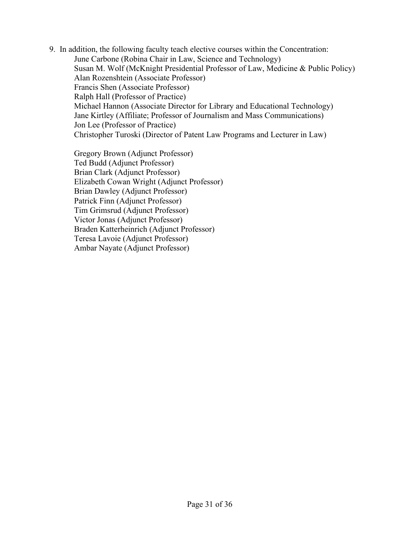9. In addition, the following faculty teach elective courses within the Concentration: June Carbone (Robina Chair in Law, Science and Technology) Susan M. Wolf (McKnight Presidential Professor of Law, Medicine & Public Policy) Alan Rozenshtein (Associate Professor) Francis Shen (Associate Professor) Ralph Hall (Professor of Practice) Michael Hannon (Associate Director for Library and Educational Technology) Jane Kirtley (Affiliate; Professor of Journalism and Mass Communications) Jon Lee (Professor of Practice) Christopher Turoski (Director of Patent Law Programs and Lecturer in Law)

Gregory Brown (Adjunct Professor) Ted Budd (Adjunct Professor) Brian Clark (Adjunct Professor) Elizabeth Cowan Wright (Adjunct Professor) Brian Dawley (Adjunct Professor) Patrick Finn (Adjunct Professor) Tim Grimsrud (Adjunct Professor) Victor Jonas (Adjunct Professor) Braden Katterheinrich (Adjunct Professor) Teresa Lavoie (Adjunct Professor) Ambar Nayate (Adjunct Professor)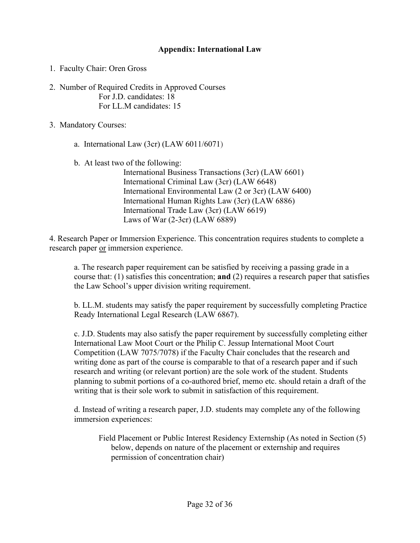# **Appendix: International Law**

- <span id="page-32-0"></span>1. Faculty Chair: Oren Gross
- 2. Number of Required Credits in Approved Courses For J.D. candidates: 18 For LL.M candidates: 15
- 3. Mandatory Courses:
	- a. International Law (3cr) (LAW 6011/6071)
	- b. At least two of the following:

International Business Transactions (3cr) (LAW 6601) International Criminal Law (3cr) (LAW 6648) International Environmental Law (2 or 3cr) (LAW 6400) International Human Rights Law (3cr) (LAW 6886) International Trade Law (3cr) (LAW 6619) Laws of War (2-3cr) (LAW 6889)

4. Research Paper or Immersion Experience. This concentration requires students to complete a research paper or immersion experience.

a. The research paper requirement can be satisfied by receiving a passing grade in a course that: (1) satisfies this concentration; **and** (2) requires a research paper that satisfies the Law School's upper division writing requirement.

b. LL.M. students may satisfy the paper requirement by successfully completing Practice Ready International Legal Research (LAW 6867).

c. J.D. Students may also satisfy the paper requirement by successfully completing either International Law Moot Court or the Philip C. Jessup International Moot Court Competition (LAW 7075/7078) if the Faculty Chair concludes that the research and writing done as part of the course is comparable to that of a research paper and if such research and writing (or relevant portion) are the sole work of the student. Students planning to submit portions of a co-authored brief, memo etc. should retain a draft of the writing that is their sole work to submit in satisfaction of this requirement.

d. Instead of writing a research paper, J.D. students may complete any of the following immersion experiences:

Field Placement or Public Interest Residency Externship (As noted in Section (5) below, depends on nature of the placement or externship and requires permission of concentration chair)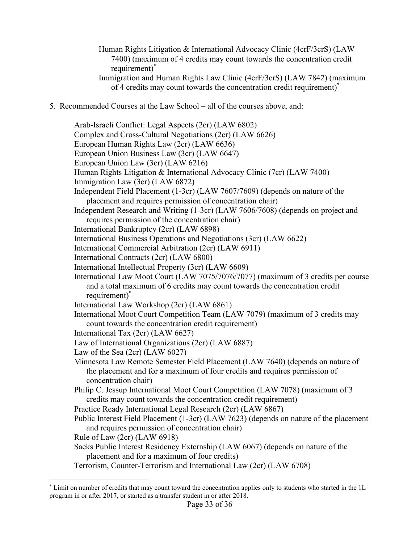- Human Rights Litigation & International Advocacy Clinic (4crF/3crS) (LAW 7400) (maximum of 4 credits may count towards the concentration credit requirement)[\\*](#page-33-0) Immigration and Human Rights Law Clinic (4crF/3crS) (LAW 7842) (maximum
- of 4 credits may count towards the concentration credit requirement)\*
- 5. Recommended Courses at the Law School all of the courses above, and:

Arab-Israeli Conflict: Legal Aspects (2cr) (LAW 6802) Complex and Cross-Cultural Negotiations (2cr) (LAW 6626) European Human Rights Law (2cr) (LAW 6636) European Union Business Law (3cr) (LAW 6647) European Union Law (3cr) (LAW 6216) Human Rights Litigation & International Advocacy Clinic (7cr) (LAW 7400) Immigration Law (3cr) (LAW 6872) Independent Field Placement (1-3cr) (LAW 7607/7609) (depends on nature of the placement and requires permission of concentration chair) Independent Research and Writing (1-3cr) (LAW 7606/7608) (depends on project and requires permission of the concentration chair) International Bankruptcy (2cr) (LAW 6898) International Business Operations and Negotiations (3cr) (LAW 6622) International Commercial Arbitration (2cr) (LAW 6911) International Contracts (2cr) (LAW 6800) International Intellectual Property (3cr) (LAW 6609) International Law Moot Court (LAW 7075/7076/7077) (maximum of 3 credits per course and a total maximum of 6 credits may count towards the concentration credit requirement)\* International Law Workshop (2cr) (LAW 6861) International Moot Court Competition Team (LAW 7079) (maximum of 3 credits may count towards the concentration credit requirement) International Tax (2cr) (LAW 6627) Law of International Organizations (2cr) (LAW 6887) Law of the Sea (2cr) (LAW 6027) Minnesota Law Remote Semester Field Placement (LAW 7640) (depends on nature of the placement and for a maximum of four credits and requires permission of concentration chair) Philip C. Jessup International Moot Court Competition (LAW 7078) (maximum of 3 credits may count towards the concentration credit requirement) Practice Ready International Legal Research (2cr) (LAW 6867) Public Interest Field Placement (1-3cr) (LAW 7623) (depends on nature of the placement and requires permission of concentration chair) Rule of Law (2cr) (LAW 6918) Saeks Public Interest Residency Externship (LAW 6067) (depends on nature of the placement and for a maximum of four credits) Terrorism, Counter-Terrorism and International Law (2cr) (LAW 6708)

<span id="page-33-0"></span><sup>\*</sup> Limit on number of credits that may count toward the concentration applies only to students who started in the 1L program in or after 2017, or started as a transfer student in or after 2018.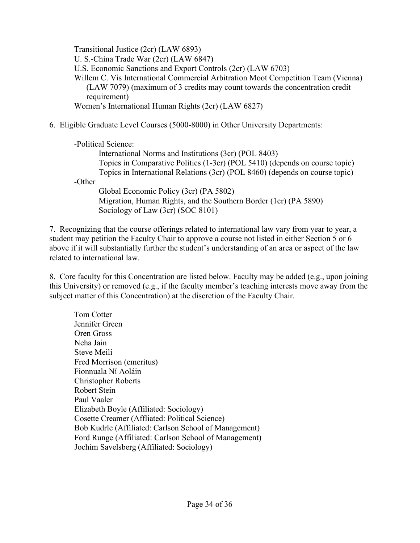Transitional Justice (2cr) (LAW 6893) U. S.-China Trade War (2cr) (LAW 6847) U.S. Economic Sanctions and Export Controls (2cr) (LAW 6703) Willem C. Vis International Commercial Arbitration Moot Competition Team (Vienna) (LAW 7079) (maximum of 3 credits may count towards the concentration credit requirement) Women's International Human Rights (2cr) (LAW 6827)

6. Eligible Graduate Level Courses (5000-8000) in Other University Departments:

|        | -Political Science:                                                          |
|--------|------------------------------------------------------------------------------|
|        | International Norms and Institutions (3cr) (POL 8403)                        |
|        | Topics in Comparative Politics (1-3cr) (POL 5410) (depends on course topic)  |
|        | Topics in International Relations (3cr) (POL 8460) (depends on course topic) |
| -Other |                                                                              |
|        | Global Economic Policy (3cr) (PA 5802)                                       |
|        | Migration, Human Rights, and the Southern Border (1cr) (PA 5890)             |
|        | Sociology of Law (3cr) (SOC 8101)                                            |

7. Recognizing that the course offerings related to international law vary from year to year, a student may petition the Faculty Chair to approve a course not listed in either Section 5 or 6 above if it will substantially further the student's understanding of an area or aspect of the law related to international law.

8. Core faculty for this Concentration are listed below. Faculty may be added (e.g., upon joining this University) or removed (e.g., if the faculty member's teaching interests move away from the subject matter of this Concentration) at the discretion of the Faculty Chair.

Tom Cotter Jennifer Green Oren Gross Neha Jain Steve Meili Fred Morrison (emeritus) Fionnuala Ní Aoláin Christopher Roberts Robert Stein Paul Vaaler Elizabeth Boyle (Affiliated: Sociology) Cosette Creamer (Affliated: Political Science) Bob Kudrle (Affiliated: Carlson School of Management) Ford Runge (Affiliated: Carlson School of Management) Jochim Savelsberg (Affiliated: Sociology)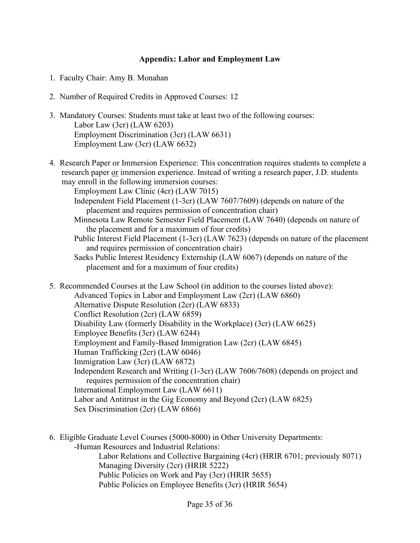#### **Appendix: Labor and Employment Law**

- <span id="page-35-0"></span>1. Faculty Chair: Amy B. Monahan
- 2. Number of Required Credits in Approved Courses: 12
- 3. Mandatory Courses: Students must take at least two of the following courses: Labor Law (3cr) (LAW 6203) Employment Discrimination (3cr) (LAW 6631) Employment Law (3cr) (LAW 6632)
- 4. Research Paper or Immersion Experience: This concentration requires students to complete a research paper or immersion experience. Instead of writing a research paper, J.D. students may enroll in the following immersion courses:

Employment Law Clinic (4cr) (LAW 7015)

- Independent Field Placement (1-3cr) (LAW 7607/7609) (depends on nature of the placement and requires permission of concentration chair)
- Minnesota Law Remote Semester Field Placement (LAW 7640) (depends on nature of the placement and for a maximum of four credits)
- Public Interest Field Placement (1-3cr) (LAW 7623) (depends on nature of the placement and requires permission of concentration chair)
- Saeks Public Interest Residency Externship (LAW 6067) (depends on nature of the placement and for a maximum of four credits)
- 5. Recommended Courses at the Law School (in addition to the courses listed above): Advanced Topics in Labor and Employment Law (2cr) (LAW 6860) Alternative Dispute Resolution (2cr) (LAW 6833) Conflict Resolution (2cr) (LAW 6859) Disability Law (formerly Disability in the Workplace) (3cr) (LAW 6625) Employee Benefits (3cr) (LAW 6244) Employment and Family-Based Immigration Law (2cr) (LAW 6845) Human Trafficking (2cr) (LAW 6046) Immigration Law (3cr) (LAW 6872) Independent Research and Writing (1-3cr) (LAW 7606/7608) (depends on project and requires permission of the concentration chair) International Employment Law (LAW 6611) Labor and Antitrust in the Gig Economy and Beyond (2cr) (LAW 6825) Sex Discrimination (2cr) (LAW 6866)
- 6. Eligible Graduate Level Courses (5000-8000) in Other University Departments: -Human Resources and Industrial Relations: Labor Relations and Collective Bargaining (4cr) (HRIR 6701; previously 8071) Managing Diversity (2cr) (HRIR 5222) Public Policies on Work and Pay (3cr) (HRIR 5655) Public Policies on Employee Benefits (3cr) (HRIR 5654)